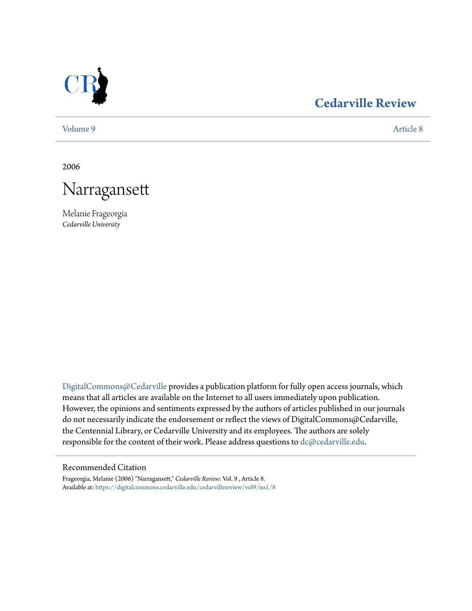

## **[Cedarville Review](https://digitalcommons.cedarville.edu/cedarvillereview?utm_source=digitalcommons.cedarville.edu%2Fcedarvillereview%2Fvol9%2Fiss1%2F8&utm_medium=PDF&utm_campaign=PDFCoverPages)**

[Volume 9](https://digitalcommons.cedarville.edu/cedarvillereview/vol9?utm_source=digitalcommons.cedarville.edu%2Fcedarvillereview%2Fvol9%2Fiss1%2F8&utm_medium=PDF&utm_campaign=PDFCoverPages) [Article 8](https://digitalcommons.cedarville.edu/cedarvillereview/vol9/iss1/8?utm_source=digitalcommons.cedarville.edu%2Fcedarvillereview%2Fvol9%2Fiss1%2F8&utm_medium=PDF&utm_campaign=PDFCoverPages)

2006



Melanie Frageorgia *Cedarville University*

[DigitalCommons@Cedarville](http://digitalcommons.cedarville.edu) provides a publication platform for fully open access journals, which means that all articles are available on the Internet to all users immediately upon publication. However, the opinions and sentiments expressed by the authors of articles published in our journals do not necessarily indicate the endorsement or reflect the views of DigitalCommons@Cedarville, the Centennial Library, or Cedarville University and its employees. The authors are solely responsible for the content of their work. Please address questions to [dc@cedarville.edu](mailto:dc@cedarville.edu).

## Recommended Citation

Frageorgia, Melanie (2006) "Narragansett," *Cedarville Review*: Vol. 9 , Article 8. Available at: [https://digitalcommons.cedarville.edu/cedarvillereview/vol9/iss1/8](https://digitalcommons.cedarville.edu/cedarvillereview/vol9/iss1/8?utm_source=digitalcommons.cedarville.edu%2Fcedarvillereview%2Fvol9%2Fiss1%2F8&utm_medium=PDF&utm_campaign=PDFCoverPages)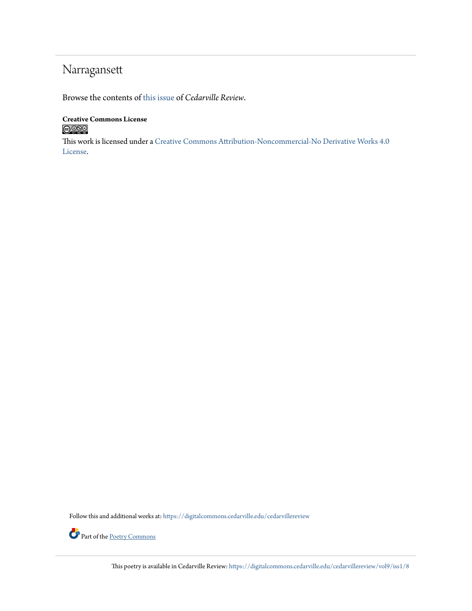## Narragansett

Browse the contents of [this issue](https://digitalcommons.cedarville.edu/cedarvillereview/vol9/iss1) of *Cedarville Review*.

**Creative Commons License**  $\bigcirc$  000

This work is licensed under a [Creative Commons Attribution-Noncommercial-No Derivative Works 4.0](http://creativecommons.org/licenses/by-nc-nd/4.0/) [License.](http://creativecommons.org/licenses/by-nc-nd/4.0/)

Follow this and additional works at: [https://digitalcommons.cedarville.edu/cedarvillereview](https://digitalcommons.cedarville.edu/cedarvillereview?utm_source=digitalcommons.cedarville.edu%2Fcedarvillereview%2Fvol9%2Fiss1%2F8&utm_medium=PDF&utm_campaign=PDFCoverPages)



This poetry is available in Cedarville Review: [https://digitalcommons.cedarville.edu/cedarvillereview/vol9/iss1/8](https://digitalcommons.cedarville.edu/cedarvillereview/vol9/iss1/8?utm_source=digitalcommons.cedarville.edu%2Fcedarvillereview%2Fvol9%2Fiss1%2F8&utm_medium=PDF&utm_campaign=PDFCoverPages)